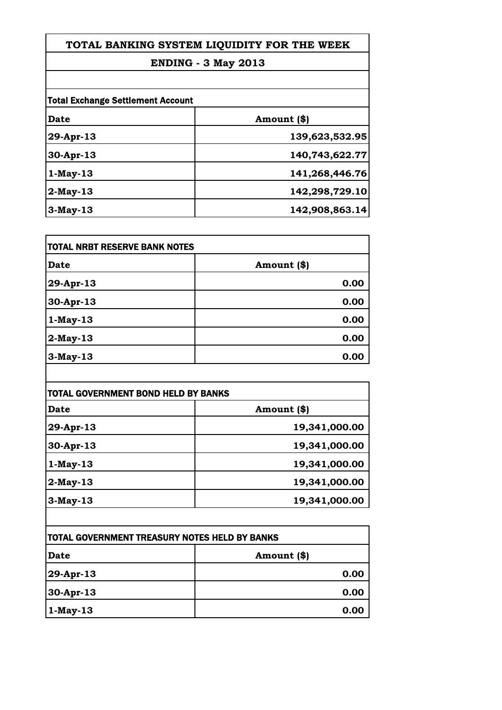## **ENDING - 3 May 2013**

| <b>Total Exchange Settlement Account</b> |                |
|------------------------------------------|----------------|
| Date                                     | Amount (\$)    |
| 29-Apr-13                                | 139,623,532.95 |
| $30-Apr-13$                              | 140,743,622.77 |
| $1-May-13$                               | 141,268,446.76 |
| $2$ -May-13                              | 142,298,729.10 |
| $3-May-13$                               | 142,908,863.14 |

| <b>TOTAL NRBT RESERVE BANK NOTES</b> |             |
|--------------------------------------|-------------|
| Date                                 | Amount (\$) |
| 29-Apr-13                            | 0.00        |
| 30-Apr-13                            | 0.00        |
| $1-May-13$                           | 0.00        |
| $2$ -May-13                          | 0.00        |
| 3-May-13                             | 0.00        |

| <b>TOTAL GOVERNMENT BOND HELD BY BANKS</b> |               |
|--------------------------------------------|---------------|
| Date                                       | Amount (\$)   |
| 29-Apr-13                                  | 19,341,000.00 |
| 30-Apr-13                                  | 19,341,000.00 |
| $1-May-13$                                 | 19,341,000.00 |
| $ 2-May-13 $                               | 19,341,000.00 |
| $3-May-13$                                 | 19,341,000.00 |

| <b>ITOTAL GOVERNMENT TREASURY NOTES HELD BY BANKS</b> |             |
|-------------------------------------------------------|-------------|
| Date                                                  | Amount (\$) |
| $ 29 - Apr - 13 $                                     | 0.00        |
| 30-Apr-13                                             | 0.00        |
| $ 1-May-13 $                                          | 0.00        |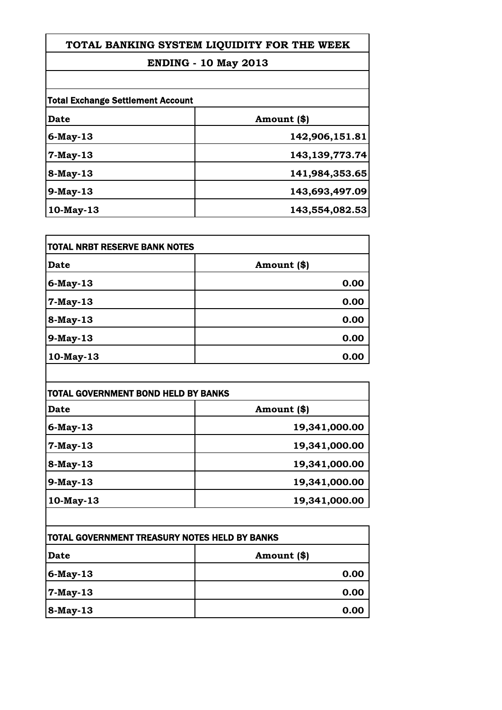## **ENDING - 10 May 2013**

| <b>Total Exchange Settlement Account</b> |                   |
|------------------------------------------|-------------------|
| Date                                     | Amount (\$)       |
| $6$ -May-13                              | 142,906,151.81    |
| $7-May-13$                               | 143, 139, 773. 74 |
| 8-May-13                                 | 141,984,353.65    |
| $9-May-13$                               | 143,693,497.09    |
| $10$ -May-13                             | 143,554,082.53    |

| TOTAL NRBT RESERVE BANK NOTES |             |
|-------------------------------|-------------|
| Date                          | Amount (\$) |
| $6$ -May-13                   | 0.00        |
| 7-May-13                      | 0.00        |
| 8-May-13                      | 0.00        |
| 9-May-13                      | 0.00        |
| 10-May-13                     | 0.00        |

| <b>TOTAL GOVERNMENT BOND HELD BY BANKS</b> |               |
|--------------------------------------------|---------------|
| Date                                       | Amount (\$)   |
| $6$ -May-13                                | 19,341,000.00 |
| 7-May-13                                   | 19,341,000.00 |
| 8-May-13                                   | 19,341,000.00 |
| $9$ -May-13                                | 19,341,000.00 |
| 10-May-13                                  | 19,341,000.00 |

| <b>TOTAL GOVERNMENT TREASURY NOTES HELD BY BANKS</b> |             |
|------------------------------------------------------|-------------|
| Date                                                 | Amount (\$) |
| 6-May-13                                             | 0.00        |
| $ 7-May-13 $                                         | 0.00        |
| 8-May-13                                             | 0.00        |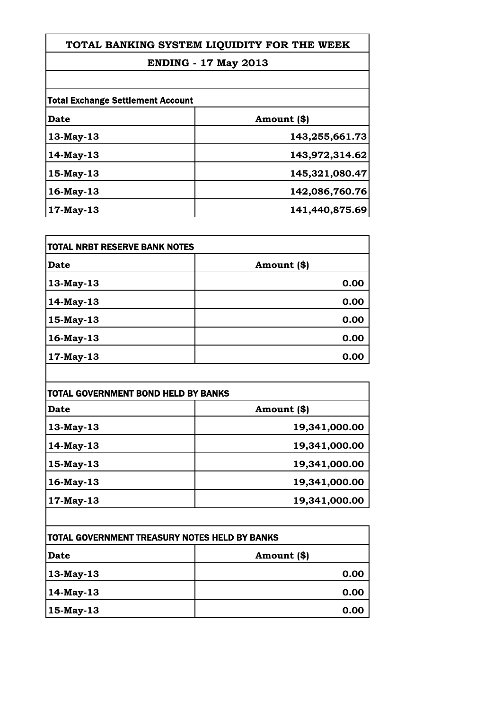## **ENDING - 17 May 2013**

| <b>Total Exchange Settlement Account</b> |                |
|------------------------------------------|----------------|
| Date                                     | Amount (\$)    |
| 13-May-13                                | 143,255,661.73 |
| 14-May-13                                | 143,972,314.62 |
| 15-May-13                                | 145,321,080.47 |
| $16$ -May-13                             | 142,086,760.76 |
| $17$ -May-13                             | 141,440,875.69 |

| TOTAL NRBT RESERVE BANK NOTES |             |
|-------------------------------|-------------|
| <b>Date</b>                   | Amount (\$) |
| 13-May-13                     | 0.00        |
| 14-May-13                     | 0.00        |
| 15-May-13                     | 0.00        |
| 16-May-13                     | 0.00        |
| 17-May-13                     | 0.00        |

| <b>TOTAL GOVERNMENT BOND HELD BY BANKS</b> |  |
|--------------------------------------------|--|
| Amount (\$)                                |  |
| 19,341,000.00                              |  |
| 19,341,000.00                              |  |
| 19,341,000.00                              |  |
| 19,341,000.00                              |  |
| 19,341,000.00                              |  |
|                                            |  |

| <b>TOTAL GOVERNMENT TREASURY NOTES HELD BY BANKS</b> |             |
|------------------------------------------------------|-------------|
| Date                                                 | Amount (\$) |
| 13-May-13                                            | 0.00        |
| 14-May-13                                            | 0.00        |
| $15$ -May-13                                         | 0.00        |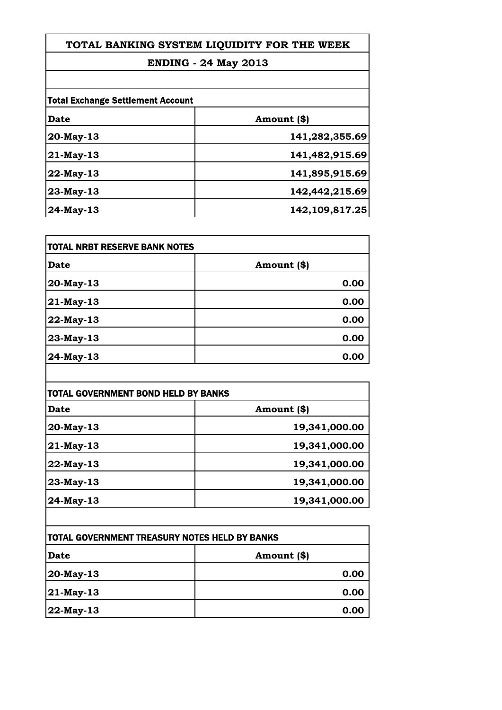## **ENDING - 24 May 2013**

| <b>Total Exchange Settlement Account</b> |                |
|------------------------------------------|----------------|
| Date                                     | Amount (\$)    |
| 20-May-13                                | 141,282,355.69 |
| 21-May-13                                | 141,482,915.69 |
| 22-May-13                                | 141,895,915.69 |
| 23-May-13                                | 142,442,215.69 |
| 24-May-13                                | 142,109,817.25 |

| TOTAL NRBT RESERVE BANK NOTES |             |
|-------------------------------|-------------|
| <b>Date</b>                   | Amount (\$) |
| 20-May-13                     | 0.00        |
| 21-May-13                     | 0.00        |
| 22-May-13                     | 0.00        |
| 23-May-13                     | 0.00        |
| 24-May-13                     | 0.00        |

| <b>TOTAL GOVERNMENT BOND HELD BY BANKS</b> |               |
|--------------------------------------------|---------------|
| Date                                       | Amount (\$)   |
| 20-May-13                                  | 19,341,000.00 |
| $21$ -May-13                               | 19,341,000.00 |
| 22-May-13                                  | 19,341,000.00 |
| 23-May-13                                  | 19,341,000.00 |
| $24$ -May-13                               | 19,341,000.00 |

| <b>ITOTAL GOVERNMENT TREASURY NOTES HELD BY BANKS</b> |             |
|-------------------------------------------------------|-------------|
| Date                                                  | Amount (\$) |
| $ 20$ -May-13                                         | 0.00        |
| $ 21$ -May-13                                         | 0.00        |
| $ 22$ -May-13                                         | 0.00        |